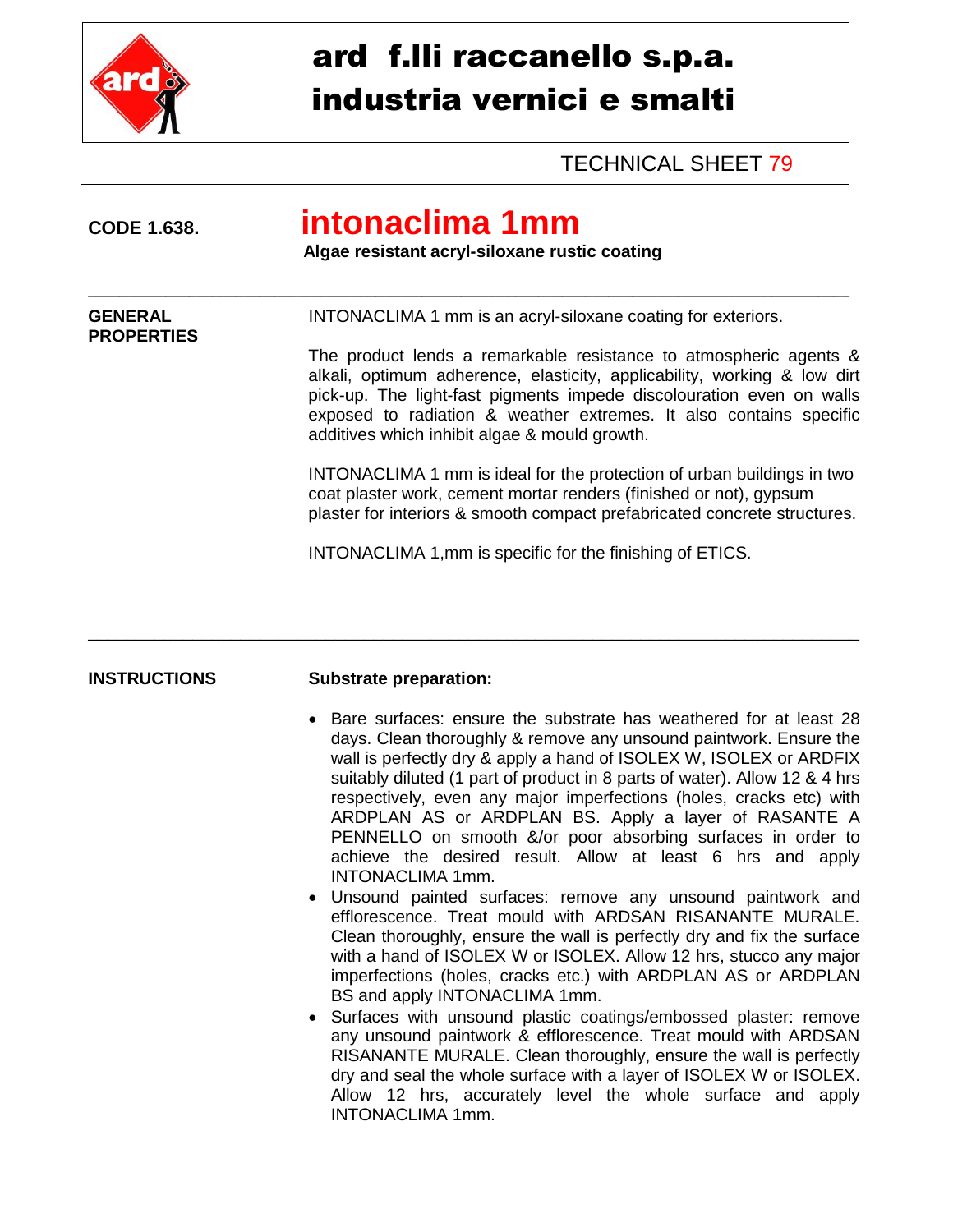

## ard f.lli raccanello s.p.a. industria vernici e smalti

### TECHNICAL SHEET 79

### **CODE 1.638. intonaclima 1mm Algae resistant acryl-siloxane rustic coating** \_\_\_\_\_\_\_\_\_\_\_\_\_\_\_\_\_\_\_\_\_\_\_\_\_\_\_\_\_\_\_\_\_\_\_\_\_\_\_\_\_\_\_\_\_\_\_\_\_\_\_\_\_\_\_\_\_\_\_\_\_\_\_\_\_\_\_\_\_\_\_\_\_\_\_\_\_\_\_\_\_\_\_\_\_\_\_\_\_\_\_\_\_\_\_\_\_\_ **GENERAL** INTONACLIMA 1 mm is an acryl-siloxane coating for exteriors. **PROPERTIES** The product lends a remarkable resistance to atmospheric agents & alkali, optimum adherence, elasticity, applicability, working & low dirt pick-up. The light-fast pigments impede discolouration even on walls exposed to radiation & weather extremes. It also contains specific additives which inhibit algae & mould growth. INTONACLIMA 1 mm is ideal for the protection of urban buildings in two coat plaster work, cement mortar renders (finished or not), gypsum plaster for interiors & smooth compact prefabricated concrete structures. INTONACLIMA 1,mm is specific for the finishing of ETICS.

\_\_\_\_\_\_\_\_\_\_\_\_\_\_\_\_\_\_\_\_\_\_\_\_\_\_\_\_\_\_\_\_\_\_\_\_\_\_\_\_\_\_\_\_\_\_\_\_\_\_\_\_\_\_\_\_\_\_\_\_\_\_\_\_\_\_\_\_\_\_\_\_\_\_\_\_\_\_\_\_\_

#### **INSTRUCTIONS Substrate preparation:**

- Bare surfaces: ensure the substrate has weathered for at least 28 days. Clean thoroughly & remove any unsound paintwork. Ensure the wall is perfectly dry & apply a hand of ISOLEX W, ISOLEX or ARDFIX suitably diluted (1 part of product in 8 parts of water). Allow 12 & 4 hrs respectively, even any major imperfections (holes, cracks etc) with ARDPLAN AS or ARDPLAN BS. Apply a layer of RASANTE A PENNELLO on smooth &/or poor absorbing surfaces in order to achieve the desired result. Allow at least 6 hrs and apply INTONACLIMA 1mm.
- Unsound painted surfaces: remove any unsound paintwork and efflorescence. Treat mould with ARDSAN RISANANTE MURALE. Clean thoroughly, ensure the wall is perfectly dry and fix the surface with a hand of ISOLEX W or ISOLEX. Allow 12 hrs, stucco any major imperfections (holes, cracks etc.) with ARDPLAN AS or ARDPLAN BS and apply INTONACLIMA 1mm.
- Surfaces with unsound plastic coatings/embossed plaster: remove any unsound paintwork & efflorescence. Treat mould with ARDSAN RISANANTE MURALE. Clean thoroughly, ensure the wall is perfectly dry and seal the whole surface with a layer of ISOLEX W or ISOLEX. Allow 12 hrs, accurately level the whole surface and apply INTONACLIMA 1mm.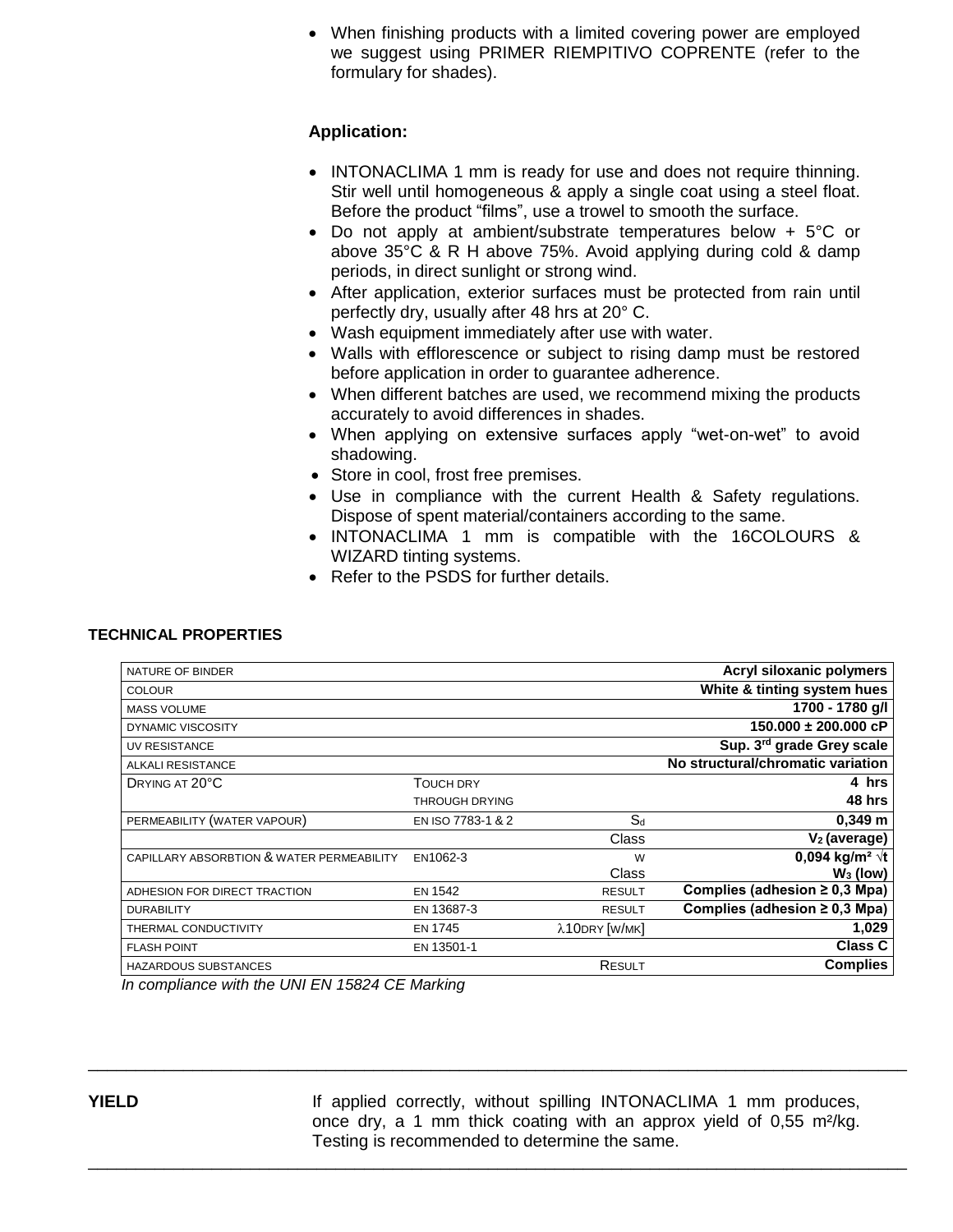When finishing products with a limited covering power are employed we suggest using PRIMER RIEMPITIVO COPRENTE (refer to the formulary for shades).

#### **Application:**

- INTONACLIMA 1 mm is ready for use and does not require thinning. Stir well until homogeneous & apply a single coat using a steel float. Before the product "films", use a trowel to smooth the surface.
- Do not apply at ambient/substrate temperatures below + 5°C or above 35°C & R H above 75%. Avoid applying during cold & damp periods, in direct sunlight or strong wind.
- After application, exterior surfaces must be protected from rain until perfectly dry, usually after 48 hrs at 20° C.
- Wash equipment immediately after use with water.
- Walls with efflorescence or subject to rising damp must be restored before application in order to guarantee adherence.
- When different batches are used, we recommend mixing the products accurately to avoid differences in shades.
- When applying on extensive surfaces apply "wet-on-wet" to avoid shadowing.
- Store in cool, frost free premises.
- Use in compliance with the current Health & Safety regulations. Dispose of spent material/containers according to the same.
- INTONACLIMA 1 mm is compatible with the 16COLOURS & WIZARD tinting systems.
- Refer to the PSDS for further details.

#### **TECHNICAL PROPERTIES**

| NATURE OF BINDER                          |                       |               | Acryl siloxanic polymers           |
|-------------------------------------------|-----------------------|---------------|------------------------------------|
| <b>COLOUR</b>                             |                       |               | White & tinting system hues        |
| <b>MASS VOLUME</b>                        |                       |               | 1700 - 1780 g/l                    |
| <b>DYNAMIC VISCOSITY</b>                  |                       |               | $150.000 \pm 200.000$ cP           |
| UV RESISTANCE                             |                       |               | Sup. 3rd grade Grey scale          |
| <b>ALKALI RESISTANCE</b>                  |                       |               | No structural/chromatic variation  |
| DRYING AT 20°C                            | <b>TOUCH DRY</b>      |               | 4 hrs                              |
|                                           | <b>THROUGH DRYING</b> |               | 48 hrs                             |
| PERMEABILITY (WATER VAPOUR)               | EN ISO 7783-1 & 2     | $S_d$         | $0,349 \; m$                       |
|                                           |                       | Class         | $V_2$ (average)                    |
| CAPILLARY ABSORBTION & WATER PERMEABILITY | EN1062-3              | W             | 0,094 kg/m <sup>2</sup> $\sqrt{t}$ |
|                                           |                       | Class         | $W_3$ (low)                        |
| ADHESION FOR DIRECT TRACTION              | <b>EN 1542</b>        | <b>RESULT</b> | Complies (adhesion $\geq$ 0,3 Mpa) |
| <b>DURABILITY</b>                         | EN 13687-3            | <b>RESULT</b> | Complies (adhesion $\geq$ 0,3 Mpa) |
| THERMAL CONDUCTIVITY                      | <b>EN 1745</b>        | λ10DRY [W/MK] | 1,029                              |
| <b>FLASH POINT</b>                        | EN 13501-1            |               | <b>Class C</b>                     |
| <b>HAZARDOUS SUBSTANCES</b>               |                       | RESULT        | <b>Complies</b>                    |
|                                           |                       |               |                                    |

\_\_\_\_\_\_\_\_\_\_\_\_\_\_\_\_\_\_\_\_\_\_\_\_\_\_\_\_\_\_\_\_\_\_\_\_\_\_\_\_\_\_\_\_\_\_\_\_\_\_\_\_\_\_\_\_\_\_\_\_\_\_\_\_\_\_\_\_\_\_\_\_\_\_\_\_\_\_\_\_\_\_\_\_\_\_

\_\_\_\_\_\_\_\_\_\_\_\_\_\_\_\_\_\_\_\_\_\_\_\_\_\_\_\_\_\_\_\_\_\_\_\_\_\_\_\_\_\_\_\_\_\_\_\_\_\_\_\_\_\_\_\_\_\_\_\_\_\_\_\_\_\_\_\_\_\_\_\_\_\_\_\_\_\_\_\_\_\_\_\_\_\_

*In compliance with the UNI EN 15824 CE Marking*

**YIELD** If applied correctly, without spilling INTONACLIMA 1 mm produces, once dry, a 1 mm thick coating with an approx yield of 0,55 m²/kg. Testing is recommended to determine the same.